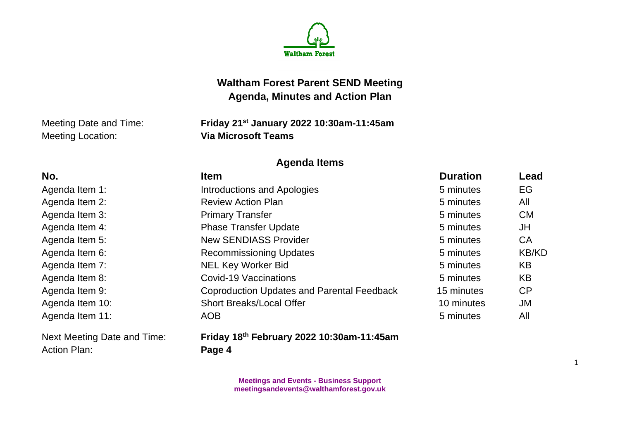

## **Waltham Forest Parent SEND Meeting Agenda, Minutes and Action Plan**

Meeting Location: **Via Microsoft Teams**

Meeting Date and Time: **Friday 21st January 2022 10:30am-11:45am**

## **Agenda Items**

## **No. Item Duration Lead** Agenda Item 1: The Introductions and Apologies **5 minutes** 5 minutes EG Agenda Item 2: The Review Action Plan **Figure 2** and 5 minutes All Agenda Item 3: The Primary Transfer CM is a set of the Second Second CM is a set of the CM Agenda Item 4: Thase Transfer Update 5 minutes 5 minutes JH Agenda Item 5: New SENDIASS Provider 6 minutes CA Agenda Item 6: The Recommissioning Updates Agenda Item 6: KB/KD Agenda Item 7: NEL Key Worker Bid **1988 COVERS 1000 EXAMPLE 15 Minutes** KB Agenda Item 8: Covid-19 Vaccinations 6 minutes KB Agenda Item 9: Coproduction Updates and Parental Feedback 15 minutes CP Agenda Item 10: Short Breaks/Local Offer 10 minutes JM Agenda Item 11: AOB AGE 5 minutes All Next Meeting Date and Time: **Friday 18th February 2022 10:30am-11:45am** Action Plan: **Page 4**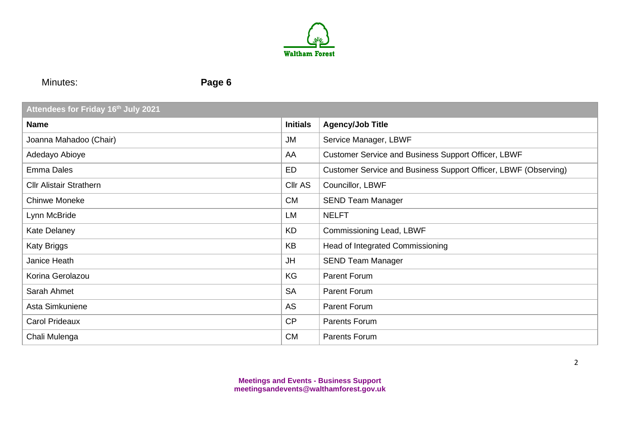

Minutes: **Page 6**

## **Attendees for Friday 16th July 2021**

| <b>Name</b>                    | <b>Initials</b> | <b>Agency/Job Title</b>                                         |
|--------------------------------|-----------------|-----------------------------------------------------------------|
| Joanna Mahadoo (Chair)         | <b>JM</b>       | Service Manager, LBWF                                           |
| Adedayo Abioye                 | AA              | Customer Service and Business Support Officer, LBWF             |
| Emma Dales                     | ED              | Customer Service and Business Support Officer, LBWF (Observing) |
| <b>Cllr Alistair Strathern</b> | Cllr AS         | Councillor, LBWF                                                |
| <b>Chinwe Moneke</b>           | <b>CM</b>       | <b>SEND Team Manager</b>                                        |
| Lynn McBride                   | LM              | <b>NELFT</b>                                                    |
| Kate Delaney                   | KD              | Commissioning Lead, LBWF                                        |
| Katy Briggs                    | <b>KB</b>       | Head of Integrated Commissioning                                |
| Janice Heath                   | JH              | <b>SEND Team Manager</b>                                        |
| Korina Gerolazou               | KG              | <b>Parent Forum</b>                                             |
| Sarah Ahmet                    | <b>SA</b>       | <b>Parent Forum</b>                                             |
| Asta Simkuniene                | AS              | <b>Parent Forum</b>                                             |
| Carol Prideaux                 | CP              | Parents Forum                                                   |
| Chali Mulenga                  | <b>CM</b>       | <b>Parents Forum</b>                                            |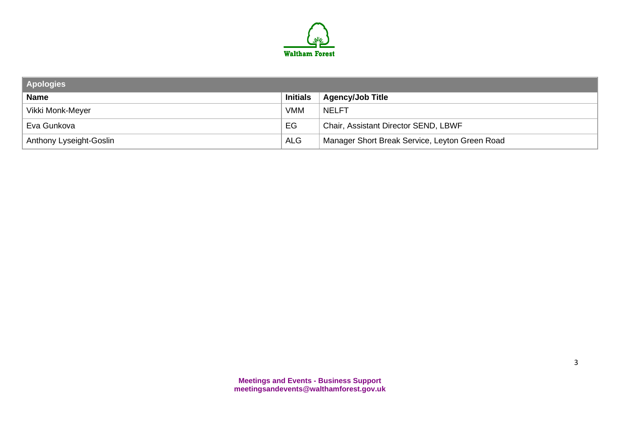

| <b>Apologies</b>        |                 |                                                |  |  |  |  |
|-------------------------|-----------------|------------------------------------------------|--|--|--|--|
| <b>Name</b>             | <b>Initials</b> | <b>Agency/Job Title</b>                        |  |  |  |  |
| Vikki Monk-Meyer        | <b>VMM</b>      | <b>NELFT</b>                                   |  |  |  |  |
| Eva Gunkova             | EG              | Chair, Assistant Director SEND, LBWF           |  |  |  |  |
| Anthony Lyseight-Goslin | <b>ALG</b>      | Manager Short Break Service, Leyton Green Road |  |  |  |  |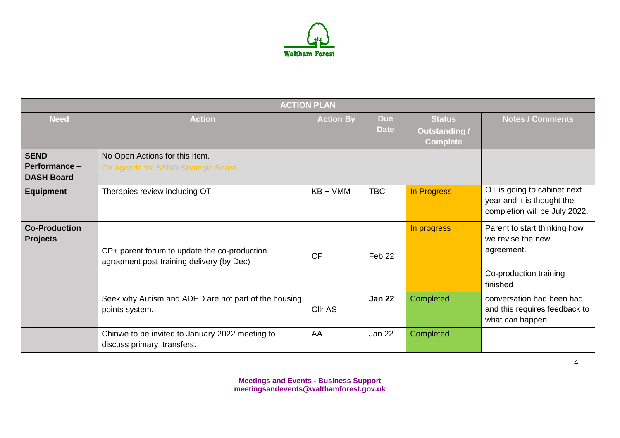

|                                                   | <b>ACTION PLAN</b>                                                                        |                  |                           |                                                  |                                                                                                       |  |  |
|---------------------------------------------------|-------------------------------------------------------------------------------------------|------------------|---------------------------|--------------------------------------------------|-------------------------------------------------------------------------------------------------------|--|--|
| <b>Need</b>                                       | <b>Action</b>                                                                             | <b>Action By</b> | <b>Due</b><br><b>Date</b> | <b>Status</b><br>Outstanding/<br><b>Complete</b> | <b>Notes / Comments</b>                                                                               |  |  |
| <b>SEND</b><br>Performance -<br><b>DASH Board</b> | No Open Actions for this Item.<br>On agenda for SEND Strategic Board                      |                  |                           |                                                  |                                                                                                       |  |  |
| <b>Equipment</b>                                  | Therapies review including OT                                                             | $KB + VMM$       | <b>TBC</b>                | In Progress                                      | OT is going to cabinet next<br>year and it is thought the<br>completion will be July 2022.            |  |  |
| <b>Co-Production</b><br><b>Projects</b>           | CP+ parent forum to update the co-production<br>agreement post training delivery (by Dec) | CP               | Feb 22                    | In progress                                      | Parent to start thinking how<br>we revise the new<br>agreement.<br>Co-production training<br>finished |  |  |
|                                                   | Seek why Autism and ADHD are not part of the housing<br>points system.                    | Cllr AS          | <b>Jan 22</b>             | Completed                                        | conversation had been had<br>and this requires feedback to<br>what can happen.                        |  |  |
|                                                   | Chinwe to be invited to January 2022 meeting to<br>discuss primary transfers.             | AA               | Jan 22                    | Completed                                        |                                                                                                       |  |  |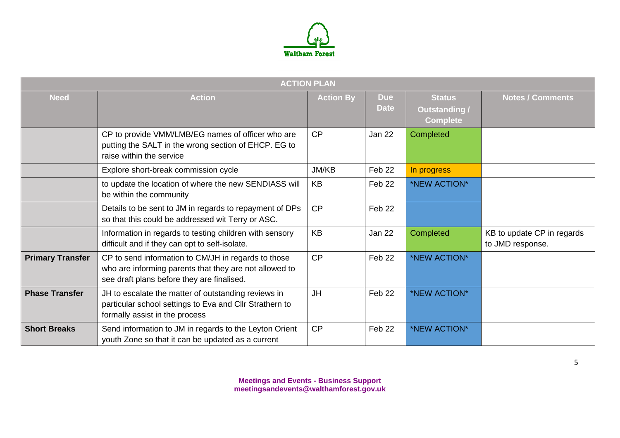

|                         | <b>ACTION PLAN</b>                                                                                                                                          |                  |                           |                                                          |                                                |  |  |
|-------------------------|-------------------------------------------------------------------------------------------------------------------------------------------------------------|------------------|---------------------------|----------------------------------------------------------|------------------------------------------------|--|--|
| <b>Need</b>             | <b>Action</b>                                                                                                                                               | <b>Action By</b> | <b>Due</b><br><b>Date</b> | <b>Status</b><br><b>Outstanding /</b><br><b>Complete</b> | <b>Notes / Comments</b>                        |  |  |
|                         | CP to provide VMM/LMB/EG names of officer who are<br>putting the SALT in the wrong section of EHCP. EG to<br>raise within the service                       | CP               | <b>Jan 22</b>             | Completed                                                |                                                |  |  |
|                         | Explore short-break commission cycle                                                                                                                        | JM/KB            | Feb 22                    | In progress                                              |                                                |  |  |
|                         | to update the location of where the new SENDIASS will<br>be within the community                                                                            | <b>KB</b>        | Feb 22                    | *NEW ACTION*                                             |                                                |  |  |
|                         | Details to be sent to JM in regards to repayment of DPs<br>so that this could be addressed wit Terry or ASC.                                                | CP               | Feb 22                    |                                                          |                                                |  |  |
|                         | Information in regards to testing children with sensory<br>difficult and if they can opt to self-isolate.                                                   | KB               | <b>Jan 22</b>             | Completed                                                | KB to update CP in regards<br>to JMD response. |  |  |
| <b>Primary Transfer</b> | CP to send information to CM/JH in regards to those<br>who are informing parents that they are not allowed to<br>see draft plans before they are finalised. | CP               | Feb 22                    | *NEW ACTION*                                             |                                                |  |  |
| <b>Phase Transfer</b>   | JH to escalate the matter of outstanding reviews in<br>particular school settings to Eva and Cllr Strathern to<br>formally assist in the process            | <b>JH</b>        | Feb 22                    | *NEW ACTION*                                             |                                                |  |  |
| <b>Short Breaks</b>     | Send information to JM in regards to the Leyton Orient<br>youth Zone so that it can be updated as a current                                                 | CP               | Feb 22                    | *NEW ACTION*                                             |                                                |  |  |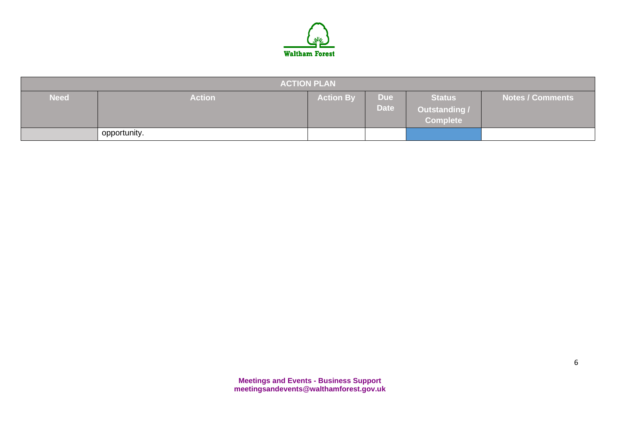

| <b>ACTION PLAN</b> |               |                  |                    |                                                          |                         |  |
|--------------------|---------------|------------------|--------------------|----------------------------------------------------------|-------------------------|--|
| <b>Need</b>        | <b>Action</b> | <b>Action By</b> | Due<br><b>Date</b> | <b>Status</b><br><b>Outstanding /</b><br><b>Complete</b> | <b>Notes / Comments</b> |  |
|                    | opportunity.  |                  |                    |                                                          |                         |  |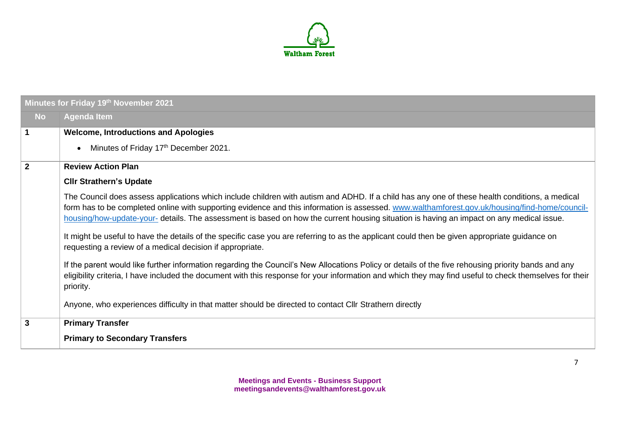

|              | Minutes for Friday 19th November 2021                                                                                                                                                                                                                                                                                                                                                                                                        |
|--------------|----------------------------------------------------------------------------------------------------------------------------------------------------------------------------------------------------------------------------------------------------------------------------------------------------------------------------------------------------------------------------------------------------------------------------------------------|
| <b>No</b>    | <b>Agenda Item</b>                                                                                                                                                                                                                                                                                                                                                                                                                           |
| 1            | <b>Welcome, Introductions and Apologies</b><br>Minutes of Friday 17th December 2021.<br>$\bullet$                                                                                                                                                                                                                                                                                                                                            |
| $\mathbf{2}$ | <b>Review Action Plan</b><br><b>CIIr Strathern's Update</b>                                                                                                                                                                                                                                                                                                                                                                                  |
|              | The Council does assess applications which include children with autism and ADHD. If a child has any one of these health conditions, a medical<br>form has to be completed online with supporting evidence and this information is assessed. www.walthamforest.gov.uk/housing/find-home/council-<br>housing/how-update-your- details. The assessment is based on how the current housing situation is having an impact on any medical issue. |
|              | It might be useful to have the details of the specific case you are referring to as the applicant could then be given appropriate guidance on<br>requesting a review of a medical decision if appropriate.                                                                                                                                                                                                                                   |
|              | If the parent would like further information regarding the Council's New Allocations Policy or details of the five rehousing priority bands and any<br>eligibility criteria, I have included the document with this response for your information and which they may find useful to check themselves for their<br>priority.                                                                                                                  |
|              | Anyone, who experiences difficulty in that matter should be directed to contact Cllr Strathern directly                                                                                                                                                                                                                                                                                                                                      |
| 3            | <b>Primary Transfer</b>                                                                                                                                                                                                                                                                                                                                                                                                                      |
|              | <b>Primary to Secondary Transfers</b>                                                                                                                                                                                                                                                                                                                                                                                                        |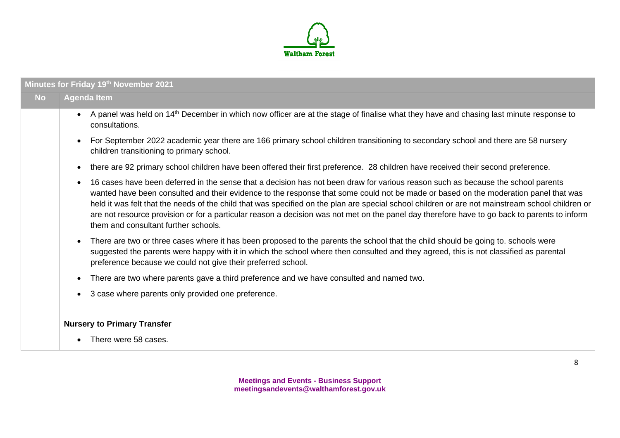

|           | Minutes for Friday 19th November 2021                                                                                                                                                                                                                                                                                                                                                                                                                                                                                                                                                                                            |
|-----------|----------------------------------------------------------------------------------------------------------------------------------------------------------------------------------------------------------------------------------------------------------------------------------------------------------------------------------------------------------------------------------------------------------------------------------------------------------------------------------------------------------------------------------------------------------------------------------------------------------------------------------|
| <b>No</b> | <b>Agenda Item</b>                                                                                                                                                                                                                                                                                                                                                                                                                                                                                                                                                                                                               |
|           | A panel was held on 14 <sup>th</sup> December in which now officer are at the stage of finalise what they have and chasing last minute response to<br>$\bullet$<br>consultations.                                                                                                                                                                                                                                                                                                                                                                                                                                                |
|           | For September 2022 academic year there are 166 primary school children transitioning to secondary school and there are 58 nursery<br>$\bullet$<br>children transitioning to primary school.                                                                                                                                                                                                                                                                                                                                                                                                                                      |
|           | there are 92 primary school children have been offered their first preference. 28 children have received their second preference.<br>$\bullet$                                                                                                                                                                                                                                                                                                                                                                                                                                                                                   |
|           | 16 cases have been deferred in the sense that a decision has not been draw for various reason such as because the school parents<br>$\bullet$<br>wanted have been consulted and their evidence to the response that some could not be made or based on the moderation panel that was<br>held it was felt that the needs of the child that was specified on the plan are special school children or are not mainstream school children or<br>are not resource provision or for a particular reason a decision was not met on the panel day therefore have to go back to parents to inform<br>them and consultant further schools. |
|           | There are two or three cases where it has been proposed to the parents the school that the child should be going to. schools were<br>$\bullet$<br>suggested the parents were happy with it in which the school where then consulted and they agreed, this is not classified as parental<br>preference because we could not give their preferred school.                                                                                                                                                                                                                                                                          |
|           | There are two where parents gave a third preference and we have consulted and named two.<br>$\bullet$                                                                                                                                                                                                                                                                                                                                                                                                                                                                                                                            |
|           | 3 case where parents only provided one preference.<br>$\bullet$                                                                                                                                                                                                                                                                                                                                                                                                                                                                                                                                                                  |
|           |                                                                                                                                                                                                                                                                                                                                                                                                                                                                                                                                                                                                                                  |
|           | <b>Nursery to Primary Transfer</b>                                                                                                                                                                                                                                                                                                                                                                                                                                                                                                                                                                                               |
|           | There were 58 cases.                                                                                                                                                                                                                                                                                                                                                                                                                                                                                                                                                                                                             |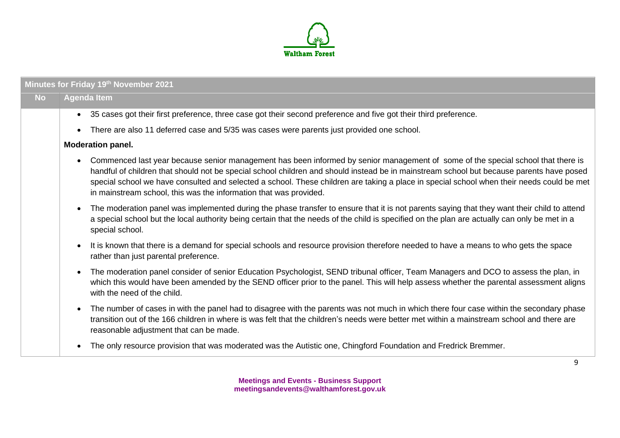

|           | Minutes for Friday 19th November 2021                                                                                                                                                                                                                                                                                                                                                                                                                                                                       |
|-----------|-------------------------------------------------------------------------------------------------------------------------------------------------------------------------------------------------------------------------------------------------------------------------------------------------------------------------------------------------------------------------------------------------------------------------------------------------------------------------------------------------------------|
| <b>No</b> | <b>Agenda Item</b>                                                                                                                                                                                                                                                                                                                                                                                                                                                                                          |
|           | 35 cases got their first preference, three case got their second preference and five got their third preference.<br>$\bullet$                                                                                                                                                                                                                                                                                                                                                                               |
|           | There are also 11 deferred case and 5/35 was cases were parents just provided one school.<br>$\bullet$                                                                                                                                                                                                                                                                                                                                                                                                      |
|           | <b>Moderation panel.</b>                                                                                                                                                                                                                                                                                                                                                                                                                                                                                    |
|           | Commenced last year because senior management has been informed by senior management of some of the special school that there is<br>$\bullet$<br>handful of children that should not be special school children and should instead be in mainstream school but because parents have posed<br>special school we have consulted and selected a school. These children are taking a place in special school when their needs could be met<br>in mainstream school, this was the information that was provided. |
|           | The moderation panel was implemented during the phase transfer to ensure that it is not parents saying that they want their child to attend<br>$\bullet$<br>a special school but the local authority being certain that the needs of the child is specified on the plan are actually can only be met in a<br>special school.                                                                                                                                                                                |
|           | It is known that there is a demand for special schools and resource provision therefore needed to have a means to who gets the space<br>$\bullet$<br>rather than just parental preference.                                                                                                                                                                                                                                                                                                                  |
|           | The moderation panel consider of senior Education Psychologist, SEND tribunal officer, Team Managers and DCO to assess the plan, in<br>$\bullet$<br>which this would have been amended by the SEND officer prior to the panel. This will help assess whether the parental assessment aligns<br>with the need of the child.                                                                                                                                                                                  |
|           | The number of cases in with the panel had to disagree with the parents was not much in which there four case within the secondary phase<br>$\bullet$<br>transition out of the 166 children in where is was felt that the children's needs were better met within a mainstream school and there are<br>reasonable adjustment that can be made.                                                                                                                                                               |
|           | The only resource provision that was moderated was the Autistic one, Chingford Foundation and Fredrick Bremmer.<br>$\bullet$                                                                                                                                                                                                                                                                                                                                                                                |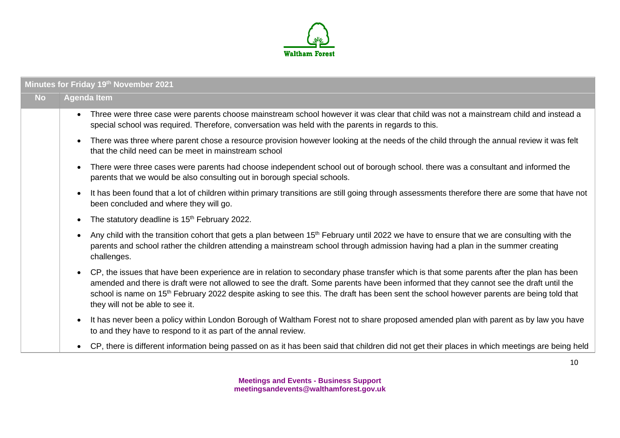

|           | Minutes for Friday 19th November 2021                                                                                                                                                                                                                                                                                                                                                                                                                                                     |  |  |  |  |
|-----------|-------------------------------------------------------------------------------------------------------------------------------------------------------------------------------------------------------------------------------------------------------------------------------------------------------------------------------------------------------------------------------------------------------------------------------------------------------------------------------------------|--|--|--|--|
| <b>No</b> | <b>Agenda Item</b>                                                                                                                                                                                                                                                                                                                                                                                                                                                                        |  |  |  |  |
|           | Three were three case were parents choose mainstream school however it was clear that child was not a mainstream child and instead a<br>$\bullet$<br>special school was required. Therefore, conversation was held with the parents in regards to this.                                                                                                                                                                                                                                   |  |  |  |  |
|           | There was three where parent chose a resource provision however looking at the needs of the child through the annual review it was felt<br>$\bullet$<br>that the child need can be meet in mainstream school                                                                                                                                                                                                                                                                              |  |  |  |  |
|           | There were three cases were parents had choose independent school out of borough school. there was a consultant and informed the<br>$\bullet$<br>parents that we would be also consulting out in borough special schools.                                                                                                                                                                                                                                                                 |  |  |  |  |
|           | It has been found that a lot of children within primary transitions are still going through assessments therefore there are some that have not<br>$\bullet$<br>been concluded and where they will go.                                                                                                                                                                                                                                                                                     |  |  |  |  |
|           | The statutory deadline is 15 <sup>th</sup> February 2022.<br>$\bullet$                                                                                                                                                                                                                                                                                                                                                                                                                    |  |  |  |  |
|           | Any child with the transition cohort that gets a plan between 15 <sup>th</sup> February until 2022 we have to ensure that we are consulting with the<br>$\bullet$<br>parents and school rather the children attending a mainstream school through admission having had a plan in the summer creating<br>challenges.                                                                                                                                                                       |  |  |  |  |
|           | CP, the issues that have been experience are in relation to secondary phase transfer which is that some parents after the plan has been<br>$\bullet$<br>amended and there is draft were not allowed to see the draft. Some parents have been informed that they cannot see the draft until the<br>school is name on 15 <sup>th</sup> February 2022 despite asking to see this. The draft has been sent the school however parents are being told that<br>they will not be able to see it. |  |  |  |  |
|           | It has never been a policy within London Borough of Waltham Forest not to share proposed amended plan with parent as by law you have<br>$\bullet$<br>to and they have to respond to it as part of the annal review.                                                                                                                                                                                                                                                                       |  |  |  |  |
|           | CP, there is different information being passed on as it has been said that children did not get their places in which meetings are being held<br>$\bullet$                                                                                                                                                                                                                                                                                                                               |  |  |  |  |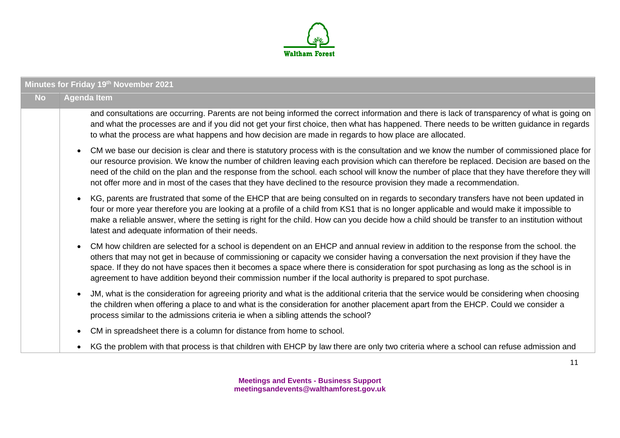

| Minutes for Friday 19th November 2021 |                                                                                                                                                                                                                                                                                                                                                                                                                                                                                                                                                                |  |  |  |
|---------------------------------------|----------------------------------------------------------------------------------------------------------------------------------------------------------------------------------------------------------------------------------------------------------------------------------------------------------------------------------------------------------------------------------------------------------------------------------------------------------------------------------------------------------------------------------------------------------------|--|--|--|
| <b>No</b>                             | <b>Agenda Item</b>                                                                                                                                                                                                                                                                                                                                                                                                                                                                                                                                             |  |  |  |
|                                       | and consultations are occurring. Parents are not being informed the correct information and there is lack of transparency of what is going on<br>and what the processes are and if you did not get your first choice, then what has happened. There needs to be written guidance in regards<br>to what the process are what happens and how decision are made in regards to how place are allocated.                                                                                                                                                           |  |  |  |
|                                       | CM we base our decision is clear and there is statutory process with is the consultation and we know the number of commissioned place for<br>our resource provision. We know the number of children leaving each provision which can therefore be replaced. Decision are based on the<br>need of the child on the plan and the response from the school. each school will know the number of place that they have therefore they will<br>not offer more and in most of the cases that they have declined to the resource provision they made a recommendation. |  |  |  |
|                                       | KG, parents are frustrated that some of the EHCP that are being consulted on in regards to secondary transfers have not been updated in<br>four or more year therefore you are looking at a profile of a child from KS1 that is no longer applicable and would make it impossible to<br>make a reliable answer, where the setting is right for the child. How can you decide how a child should be transfer to an institution without<br>latest and adequate information of their needs.                                                                       |  |  |  |
|                                       | CM how children are selected for a school is dependent on an EHCP and annual review in addition to the response from the school. the<br>others that may not get in because of commissioning or capacity we consider having a conversation the next provision if they have the<br>space. If they do not have spaces then it becomes a space where there is consideration for spot purchasing as long as the school is in<br>agreement to have addition beyond their commission number if the local authority is prepared to spot purchase.                      |  |  |  |
|                                       | JM, what is the consideration for agreeing priority and what is the additional criteria that the service would be considering when choosing<br>$\bullet$<br>the children when offering a place to and what is the consideration for another placement apart from the EHCP. Could we consider a<br>process similar to the admissions criteria ie when a sibling attends the school?                                                                                                                                                                             |  |  |  |
|                                       | CM in spreadsheet there is a column for distance from home to school.<br>$\bullet$                                                                                                                                                                                                                                                                                                                                                                                                                                                                             |  |  |  |
|                                       | KG the problem with that process is that children with EHCP by law there are only two criteria where a school can refuse admission and<br>$\bullet$                                                                                                                                                                                                                                                                                                                                                                                                            |  |  |  |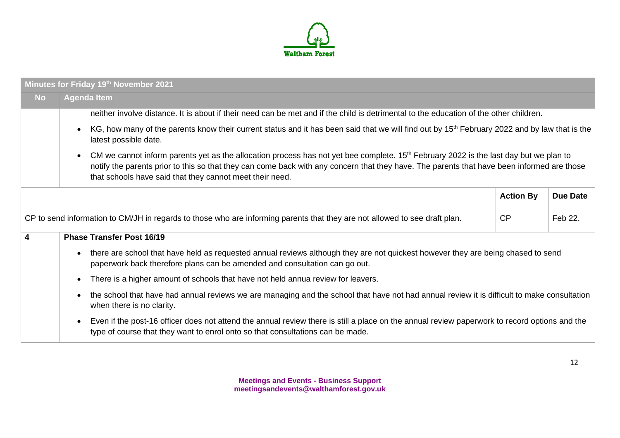

|           | Minutes for Friday 19th November 2021                                                                                                                                                                                                                                                                                                             |                  |                 |  |  |
|-----------|---------------------------------------------------------------------------------------------------------------------------------------------------------------------------------------------------------------------------------------------------------------------------------------------------------------------------------------------------|------------------|-----------------|--|--|
| <b>No</b> | <b>Agenda Item</b>                                                                                                                                                                                                                                                                                                                                |                  |                 |  |  |
|           | neither involve distance. It is about if their need can be met and if the child is detrimental to the education of the other children.                                                                                                                                                                                                            |                  |                 |  |  |
|           | KG, how many of the parents know their current status and it has been said that we will find out by 15 <sup>th</sup> February 2022 and by law that is the<br>latest possible date.                                                                                                                                                                |                  |                 |  |  |
|           | CM we cannot inform parents yet as the allocation process has not yet bee complete. $15th$ February 2022 is the last day but we plan to<br>notify the parents prior to this so that they can come back with any concern that they have. The parents that have been informed are those<br>that schools have said that they cannot meet their need. |                  |                 |  |  |
|           |                                                                                                                                                                                                                                                                                                                                                   | <b>Action By</b> | <b>Due Date</b> |  |  |
|           | CP to send information to CM/JH in regards to those who are informing parents that they are not allowed to see draft plan.                                                                                                                                                                                                                        | <b>CP</b>        | Feb 22.         |  |  |
| 4         | <b>Phase Transfer Post 16/19</b>                                                                                                                                                                                                                                                                                                                  |                  |                 |  |  |
|           | there are school that have held as requested annual reviews although they are not quickest however they are being chased to send<br>paperwork back therefore plans can be amended and consultation can go out.                                                                                                                                    |                  |                 |  |  |
|           | There is a higher amount of schools that have not held annua review for leavers.<br>$\bullet$                                                                                                                                                                                                                                                     |                  |                 |  |  |
|           | the school that have had annual reviews we are managing and the school that have not had annual review it is difficult to make consultation<br>when there is no clarity.                                                                                                                                                                          |                  |                 |  |  |
|           | Even if the post-16 officer does not attend the annual review there is still a place on the annual review paperwork to record options and the<br>type of course that they want to enrol onto so that consultations can be made.                                                                                                                   |                  |                 |  |  |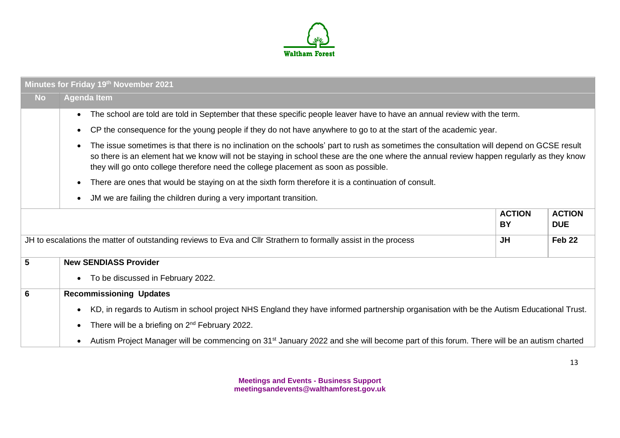

|           | Minutes for Friday 19th November 2021                                                                                                                                                                                                                                                                                                                                        |                            |                             |  |  |
|-----------|------------------------------------------------------------------------------------------------------------------------------------------------------------------------------------------------------------------------------------------------------------------------------------------------------------------------------------------------------------------------------|----------------------------|-----------------------------|--|--|
| <b>No</b> | <b>Agenda Item</b>                                                                                                                                                                                                                                                                                                                                                           |                            |                             |  |  |
|           | The school are told are told in September that these specific people leaver have to have an annual review with the term.<br>$\bullet$                                                                                                                                                                                                                                        |                            |                             |  |  |
|           | CP the consequence for the young people if they do not have anywhere to go to at the start of the academic year.<br>$\bullet$                                                                                                                                                                                                                                                |                            |                             |  |  |
|           | The issue sometimes is that there is no inclination on the schools' part to rush as sometimes the consultation will depend on GCSE result<br>so there is an element hat we know will not be staying in school these are the one where the annual review happen regularly as they know<br>they will go onto college therefore need the college placement as soon as possible. |                            |                             |  |  |
|           | There are ones that would be staying on at the sixth form therefore it is a continuation of consult.<br>$\bullet$                                                                                                                                                                                                                                                            |                            |                             |  |  |
|           | JM we are failing the children during a very important transition.<br>$\bullet$                                                                                                                                                                                                                                                                                              |                            |                             |  |  |
|           |                                                                                                                                                                                                                                                                                                                                                                              | <b>ACTION</b><br><b>BY</b> | <b>ACTION</b><br><b>DUE</b> |  |  |
|           | JH to escalations the matter of outstanding reviews to Eva and CIIr Strathern to formally assist in the process                                                                                                                                                                                                                                                              | <b>JH</b>                  | Feb <sub>22</sub>           |  |  |
| 5         | <b>New SENDIASS Provider</b>                                                                                                                                                                                                                                                                                                                                                 |                            |                             |  |  |
|           | To be discussed in February 2022.<br>$\bullet$                                                                                                                                                                                                                                                                                                                               |                            |                             |  |  |
| 6         | <b>Recommissioning Updates</b>                                                                                                                                                                                                                                                                                                                                               |                            |                             |  |  |
|           | KD, in regards to Autism in school project NHS England they have informed partnership organisation with be the Autism Educational Trust.<br>$\bullet$                                                                                                                                                                                                                        |                            |                             |  |  |
|           | There will be a briefing on 2 <sup>nd</sup> February 2022.<br>$\bullet$                                                                                                                                                                                                                                                                                                      |                            |                             |  |  |
|           | Autism Project Manager will be commencing on 31 <sup>st</sup> January 2022 and she will become part of this forum. There will be an autism charted                                                                                                                                                                                                                           |                            |                             |  |  |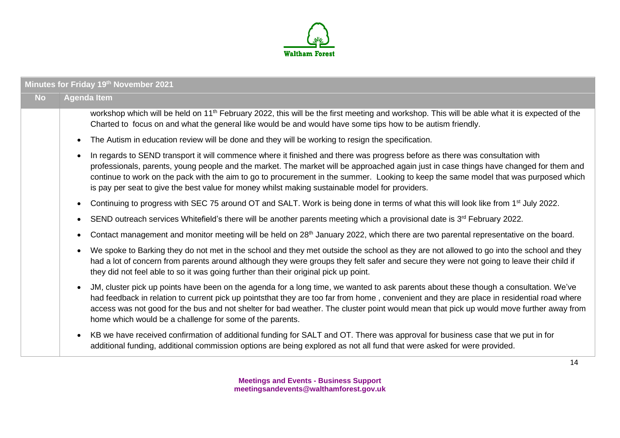

| Minutes for Friday 19th November 2021                                                                          |                                                                                                                                                                                                                                                                                                                                                                                                                                                                                                                                |  |  |
|----------------------------------------------------------------------------------------------------------------|--------------------------------------------------------------------------------------------------------------------------------------------------------------------------------------------------------------------------------------------------------------------------------------------------------------------------------------------------------------------------------------------------------------------------------------------------------------------------------------------------------------------------------|--|--|
| <b>No</b>                                                                                                      | <b>Agenda Item</b>                                                                                                                                                                                                                                                                                                                                                                                                                                                                                                             |  |  |
|                                                                                                                | workshop which will be held on 11 <sup>th</sup> February 2022, this will be the first meeting and workshop. This will be able what it is expected of the<br>Charted to focus on and what the general like would be and would have some tips how to be autism friendly.                                                                                                                                                                                                                                                         |  |  |
| The Autism in education review will be done and they will be working to resign the specification.<br>$\bullet$ |                                                                                                                                                                                                                                                                                                                                                                                                                                                                                                                                |  |  |
|                                                                                                                | In regards to SEND transport it will commence where it finished and there was progress before as there was consultation with<br>$\bullet$<br>professionals, parents, young people and the market. The market will be approached again just in case things have changed for them and<br>continue to work on the pack with the aim to go to procurement in the summer. Looking to keep the same model that was purposed which<br>is pay per seat to give the best value for money whilst making sustainable model for providers. |  |  |
|                                                                                                                | Continuing to progress with SEC 75 around OT and SALT. Work is being done in terms of what this will look like from 1 <sup>st</sup> July 2022.<br>$\bullet$                                                                                                                                                                                                                                                                                                                                                                    |  |  |
|                                                                                                                | SEND outreach services Whitefield's there will be another parents meeting which a provisional date is 3rd February 2022.<br>$\bullet$                                                                                                                                                                                                                                                                                                                                                                                          |  |  |
|                                                                                                                | Contact management and monitor meeting will be held on 28 <sup>th</sup> January 2022, which there are two parental representative on the board.<br>$\bullet$                                                                                                                                                                                                                                                                                                                                                                   |  |  |
|                                                                                                                | We spoke to Barking they do not met in the school and they met outside the school as they are not allowed to go into the school and they<br>$\bullet$<br>had a lot of concern from parents around although they were groups they felt safer and secure they were not going to leave their child if<br>they did not feel able to so it was going further than their original pick up point.                                                                                                                                     |  |  |
|                                                                                                                | JM, cluster pick up points have been on the agenda for a long time, we wanted to ask parents about these though a consultation. We've<br>$\bullet$<br>had feedback in relation to current pick up pointsthat they are too far from home, convenient and they are place in residential road where<br>access was not good for the bus and not shelter for bad weather. The cluster point would mean that pick up would move further away from<br>home which would be a challenge for some of the parents.                        |  |  |
|                                                                                                                | KB we have received confirmation of additional funding for SALT and OT. There was approval for business case that we put in for<br>$\bullet$<br>additional funding, additional commission options are being explored as not all fund that were asked for were provided.                                                                                                                                                                                                                                                        |  |  |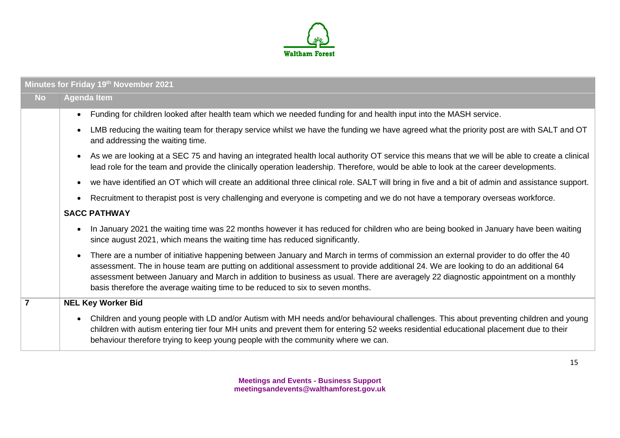

| Minutes for Friday 19th November 2021 |                                                                                                                                                                                                                                                                                                                                                                                                                                                                                                  |  |
|---------------------------------------|--------------------------------------------------------------------------------------------------------------------------------------------------------------------------------------------------------------------------------------------------------------------------------------------------------------------------------------------------------------------------------------------------------------------------------------------------------------------------------------------------|--|
| <b>No</b>                             | <b>Agenda Item</b>                                                                                                                                                                                                                                                                                                                                                                                                                                                                               |  |
|                                       | Funding for children looked after health team which we needed funding for and health input into the MASH service.<br>$\bullet$                                                                                                                                                                                                                                                                                                                                                                   |  |
|                                       | LMB reducing the waiting team for therapy service whilst we have the funding we have agreed what the priority post are with SALT and OT<br>and addressing the waiting time.                                                                                                                                                                                                                                                                                                                      |  |
|                                       | As we are looking at a SEC 75 and having an integrated health local authority OT service this means that we will be able to create a clinical<br>lead role for the team and provide the clinically operation leadership. Therefore, would be able to look at the career developments.                                                                                                                                                                                                            |  |
|                                       | we have identified an OT which will create an additional three clinical role. SALT will bring in five and a bit of admin and assistance support.                                                                                                                                                                                                                                                                                                                                                 |  |
|                                       | Recruitment to therapist post is very challenging and everyone is competing and we do not have a temporary overseas workforce.                                                                                                                                                                                                                                                                                                                                                                   |  |
|                                       | <b>SACC PATHWAY</b>                                                                                                                                                                                                                                                                                                                                                                                                                                                                              |  |
|                                       | In January 2021 the waiting time was 22 months however it has reduced for children who are being booked in January have been waiting<br>since august 2021, which means the waiting time has reduced significantly.                                                                                                                                                                                                                                                                               |  |
|                                       | There are a number of initiative happening between January and March in terms of commission an external provider to do offer the 40<br>assessment. The in house team are putting on additional assessment to provide additional 24. We are looking to do an additional 64<br>assessment between January and March in addition to business as usual. There are averagely 22 diagnostic appointment on a monthly<br>basis therefore the average waiting time to be reduced to six to seven months. |  |
| 7                                     | <b>NEL Key Worker Bid</b>                                                                                                                                                                                                                                                                                                                                                                                                                                                                        |  |
|                                       | Children and young people with LD and/or Autism with MH needs and/or behavioural challenges. This about preventing children and young<br>children with autism entering tier four MH units and prevent them for entering 52 weeks residential educational placement due to their<br>behaviour therefore trying to keep young people with the community where we can.                                                                                                                              |  |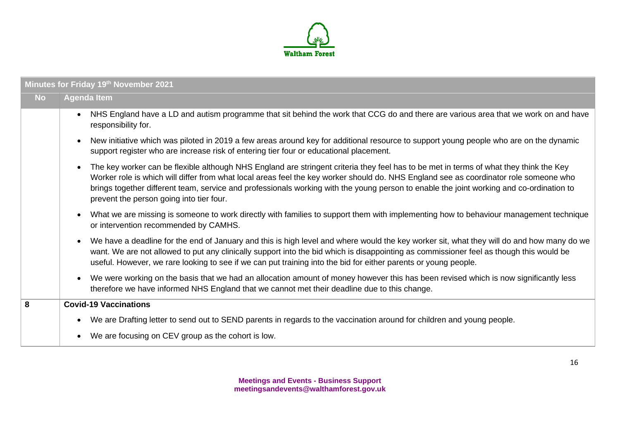

| Minutes for Friday 19th November 2021 |                                                                                                                                                                                                                                                                                                                                                                                                                                                                                      |  |  |
|---------------------------------------|--------------------------------------------------------------------------------------------------------------------------------------------------------------------------------------------------------------------------------------------------------------------------------------------------------------------------------------------------------------------------------------------------------------------------------------------------------------------------------------|--|--|
| <b>No</b>                             | <b>Agenda Item</b>                                                                                                                                                                                                                                                                                                                                                                                                                                                                   |  |  |
|                                       | NHS England have a LD and autism programme that sit behind the work that CCG do and there are various area that we work on and have<br>$\bullet$<br>responsibility for.                                                                                                                                                                                                                                                                                                              |  |  |
|                                       | New initiative which was piloted in 2019 a few areas around key for additional resource to support young people who are on the dynamic<br>$\bullet$<br>support register who are increase risk of entering tier four or educational placement.                                                                                                                                                                                                                                        |  |  |
|                                       | The key worker can be flexible although NHS England are stringent criteria they feel has to be met in terms of what they think the Key<br>$\bullet$<br>Worker role is which will differ from what local areas feel the key worker should do. NHS England see as coordinator role someone who<br>brings together different team, service and professionals working with the young person to enable the joint working and co-ordination to<br>prevent the person going into tier four. |  |  |
|                                       | What we are missing is someone to work directly with families to support them with implementing how to behaviour management technique<br>$\bullet$<br>or intervention recommended by CAMHS.                                                                                                                                                                                                                                                                                          |  |  |
|                                       | We have a deadline for the end of January and this is high level and where would the key worker sit, what they will do and how many do we<br>$\bullet$<br>want. We are not allowed to put any clinically support into the bid which is disappointing as commissioner feel as though this would be<br>useful. However, we rare looking to see if we can put training into the bid for either parents or young people.                                                                 |  |  |
|                                       | We were working on the basis that we had an allocation amount of money however this has been revised which is now significantly less<br>$\bullet$<br>therefore we have informed NHS England that we cannot met their deadline due to this change.                                                                                                                                                                                                                                    |  |  |
| 8                                     | <b>Covid-19 Vaccinations</b>                                                                                                                                                                                                                                                                                                                                                                                                                                                         |  |  |
|                                       | We are Drafting letter to send out to SEND parents in regards to the vaccination around for children and young people.<br>$\bullet$                                                                                                                                                                                                                                                                                                                                                  |  |  |
|                                       | We are focusing on CEV group as the cohort is low.<br>$\bullet$                                                                                                                                                                                                                                                                                                                                                                                                                      |  |  |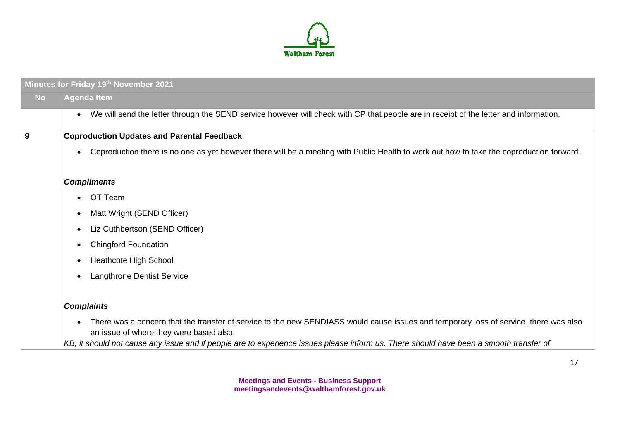

| Minutes for Friday 19th November 2021 |                                                                                                                                                                                                                                                                                                                            |  |  |
|---------------------------------------|----------------------------------------------------------------------------------------------------------------------------------------------------------------------------------------------------------------------------------------------------------------------------------------------------------------------------|--|--|
| <b>No</b>                             | <b>Agenda Item</b>                                                                                                                                                                                                                                                                                                         |  |  |
|                                       | We will send the letter through the SEND service however will check with CP that people are in receipt of the letter and information.<br>$\bullet$                                                                                                                                                                         |  |  |
| 9                                     | <b>Coproduction Updates and Parental Feedback</b>                                                                                                                                                                                                                                                                          |  |  |
|                                       | Coproduction there is no one as yet however there will be a meeting with Public Health to work out how to take the coproduction forward.<br>$\bullet$                                                                                                                                                                      |  |  |
|                                       | <b>Compliments</b>                                                                                                                                                                                                                                                                                                         |  |  |
|                                       | OT Team                                                                                                                                                                                                                                                                                                                    |  |  |
|                                       | Matt Wright (SEND Officer)<br>$\bullet$                                                                                                                                                                                                                                                                                    |  |  |
|                                       | Liz Cuthbertson (SEND Officer)<br>$\bullet$                                                                                                                                                                                                                                                                                |  |  |
|                                       | <b>Chingford Foundation</b>                                                                                                                                                                                                                                                                                                |  |  |
|                                       | Heathcote High School<br>$\bullet$                                                                                                                                                                                                                                                                                         |  |  |
|                                       | <b>Langthrone Dentist Service</b><br>$\bullet$                                                                                                                                                                                                                                                                             |  |  |
|                                       | <b>Complaints</b>                                                                                                                                                                                                                                                                                                          |  |  |
|                                       | There was a concern that the transfer of service to the new SENDIASS would cause issues and temporary loss of service. there was also<br>an issue of where they were based also.<br>KB, it should not cause any issue and if people are to experience issues please inform us. There should have been a smooth transfer of |  |  |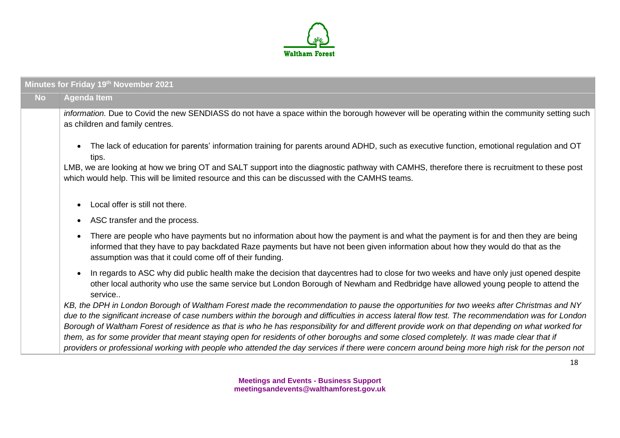

| Minutes for Friday 19th November 2021 |                                                                                                                                                                                                                                                                                                                                                                                                                                                                                                                                                                                                                                                                                                                                                  |  |
|---------------------------------------|--------------------------------------------------------------------------------------------------------------------------------------------------------------------------------------------------------------------------------------------------------------------------------------------------------------------------------------------------------------------------------------------------------------------------------------------------------------------------------------------------------------------------------------------------------------------------------------------------------------------------------------------------------------------------------------------------------------------------------------------------|--|
| <b>No</b>                             | <b>Agenda Item</b>                                                                                                                                                                                                                                                                                                                                                                                                                                                                                                                                                                                                                                                                                                                               |  |
|                                       | information. Due to Covid the new SENDIASS do not have a space within the borough however will be operating within the community setting such<br>as children and family centres.                                                                                                                                                                                                                                                                                                                                                                                                                                                                                                                                                                 |  |
|                                       | The lack of education for parents' information training for parents around ADHD, such as executive function, emotional regulation and OT<br>$\bullet$<br>tips.                                                                                                                                                                                                                                                                                                                                                                                                                                                                                                                                                                                   |  |
|                                       | LMB, we are looking at how we bring OT and SALT support into the diagnostic pathway with CAMHS, therefore there is recruitment to these post<br>which would help. This will be limited resource and this can be discussed with the CAMHS teams.                                                                                                                                                                                                                                                                                                                                                                                                                                                                                                  |  |
|                                       | Local offer is still not there.<br>$\bullet$                                                                                                                                                                                                                                                                                                                                                                                                                                                                                                                                                                                                                                                                                                     |  |
|                                       | ASC transfer and the process.<br>$\bullet$                                                                                                                                                                                                                                                                                                                                                                                                                                                                                                                                                                                                                                                                                                       |  |
|                                       | There are people who have payments but no information about how the payment is and what the payment is for and then they are being<br>$\bullet$<br>informed that they have to pay backdated Raze payments but have not been given information about how they would do that as the<br>assumption was that it could come off of their funding.                                                                                                                                                                                                                                                                                                                                                                                                     |  |
|                                       | In regards to ASC why did public health make the decision that daycentres had to close for two weeks and have only just opened despite<br>$\bullet$<br>other local authority who use the same service but London Borough of Newham and Redbridge have allowed young people to attend the<br>service                                                                                                                                                                                                                                                                                                                                                                                                                                              |  |
|                                       | KB, the DPH in London Borough of Waltham Forest made the recommendation to pause the opportunities for two weeks after Christmas and NY<br>due to the significant increase of case numbers within the borough and difficulties in access lateral flow test. The recommendation was for London<br>Borough of Waltham Forest of residence as that is who he has responsibility for and different provide work on that depending on what worked for<br>them, as for some provider that meant staying open for residents of other boroughs and some closed completely. It was made clear that if<br>providers or professional working with people who attended the day services if there were concern around being more high risk for the person not |  |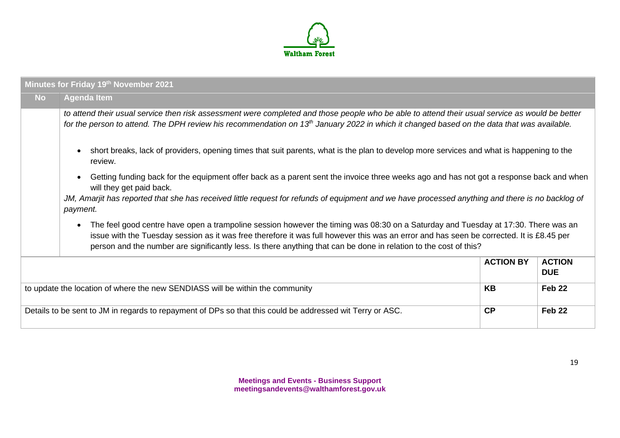

| Minutes for Friday 19th November 2021                                                                                                                                                                                                                                                                                                                                                                                                                                         |                                                                                                                                                                                                                                                                                                                                                                                                                 |                  |                             |  |
|-------------------------------------------------------------------------------------------------------------------------------------------------------------------------------------------------------------------------------------------------------------------------------------------------------------------------------------------------------------------------------------------------------------------------------------------------------------------------------|-----------------------------------------------------------------------------------------------------------------------------------------------------------------------------------------------------------------------------------------------------------------------------------------------------------------------------------------------------------------------------------------------------------------|------------------|-----------------------------|--|
| <b>No</b>                                                                                                                                                                                                                                                                                                                                                                                                                                                                     | <b>Agenda Item</b>                                                                                                                                                                                                                                                                                                                                                                                              |                  |                             |  |
| to attend their usual service then risk assessment were completed and those people who be able to attend their usual service as would be better<br>for the person to attend. The DPH review his recommendation on 13 <sup>th</sup> January 2022 in which it changed based on the data that was available.<br>short breaks, lack of providers, opening times that suit parents, what is the plan to develop more services and what is happening to the<br>$\bullet$<br>review. |                                                                                                                                                                                                                                                                                                                                                                                                                 |                  |                             |  |
|                                                                                                                                                                                                                                                                                                                                                                                                                                                                               |                                                                                                                                                                                                                                                                                                                                                                                                                 |                  |                             |  |
|                                                                                                                                                                                                                                                                                                                                                                                                                                                                               | JM, Amarjit has reported that she has received little request for refunds of equipment and we have processed anything and there is no backlog of<br>payment.                                                                                                                                                                                                                                                    |                  |                             |  |
|                                                                                                                                                                                                                                                                                                                                                                                                                                                                               | The feel good centre have open a trampoline session however the timing was 08:30 on a Saturday and Tuesday at 17:30. There was an<br>$\bullet$<br>issue with the Tuesday session as it was free therefore it was full however this was an error and has seen be corrected. It is £8.45 per<br>person and the number are significantly less. Is there anything that can be done in relation to the cost of this? |                  |                             |  |
|                                                                                                                                                                                                                                                                                                                                                                                                                                                                               |                                                                                                                                                                                                                                                                                                                                                                                                                 | <b>ACTION BY</b> | <b>ACTION</b><br><b>DUE</b> |  |
| <b>KB</b><br>Feb <sub>22</sub><br>to update the location of where the new SENDIASS will be within the community                                                                                                                                                                                                                                                                                                                                                               |                                                                                                                                                                                                                                                                                                                                                                                                                 |                  |                             |  |
|                                                                                                                                                                                                                                                                                                                                                                                                                                                                               | Details to be sent to JM in regards to repayment of DPs so that this could be addressed wit Terry or ASC.                                                                                                                                                                                                                                                                                                       | CP               | Feb <sub>22</sub>           |  |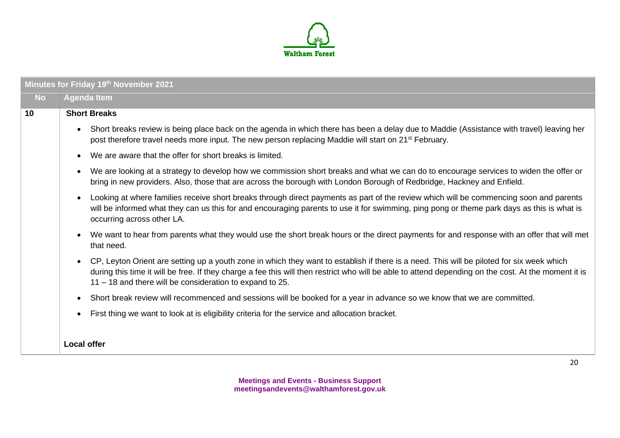

| Minutes for Friday 19th November 2021 |                                                                                                                                                                                                                                                                                                                                                                            |  |
|---------------------------------------|----------------------------------------------------------------------------------------------------------------------------------------------------------------------------------------------------------------------------------------------------------------------------------------------------------------------------------------------------------------------------|--|
| <b>No</b>                             | <b>Agenda Item</b>                                                                                                                                                                                                                                                                                                                                                         |  |
| 10                                    | <b>Short Breaks</b>                                                                                                                                                                                                                                                                                                                                                        |  |
|                                       | Short breaks review is being place back on the agenda in which there has been a delay due to Maddie (Assistance with travel) leaving her<br>$\bullet$<br>post therefore travel needs more input. The new person replacing Maddie will start on 21 <sup>st</sup> February.                                                                                                  |  |
|                                       | We are aware that the offer for short breaks is limited.<br>$\bullet$                                                                                                                                                                                                                                                                                                      |  |
|                                       | We are looking at a strategy to develop how we commission short breaks and what we can do to encourage services to widen the offer or<br>$\bullet$<br>bring in new providers. Also, those that are across the borough with London Borough of Redbridge, Hackney and Enfield.                                                                                               |  |
|                                       | Looking at where families receive short breaks through direct payments as part of the review which will be commencing soon and parents<br>$\bullet$<br>will be informed what they can us this for and encouraging parents to use it for swimming, ping pong or theme park days as this is what is<br>occurring across other LA.                                            |  |
|                                       | We want to hear from parents what they would use the short break hours or the direct payments for and response with an offer that will met<br>$\bullet$<br>that need.                                                                                                                                                                                                      |  |
|                                       | CP, Leyton Orient are setting up a youth zone in which they want to establish if there is a need. This will be piloted for six week which<br>$\bullet$<br>during this time it will be free. If they charge a fee this will then restrict who will be able to attend depending on the cost. At the moment it is<br>11 - 18 and there will be consideration to expand to 25. |  |
|                                       | Short break review will recommenced and sessions will be booked for a year in advance so we know that we are committed.<br>$\bullet$                                                                                                                                                                                                                                       |  |
|                                       | First thing we want to look at is eligibility criteria for the service and allocation bracket.<br>$\bullet$                                                                                                                                                                                                                                                                |  |
|                                       | <b>Local offer</b>                                                                                                                                                                                                                                                                                                                                                         |  |